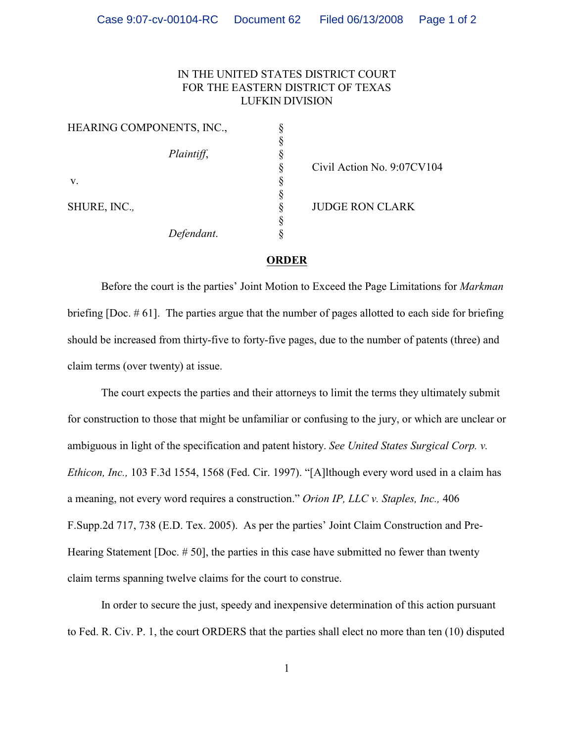## IN THE UNITED STATES DISTRICT COURT FOR THE EASTERN DISTRICT OF TEXAS LUFKIN DIVISION

| HEARING COMPONENTS, INC., |  |
|---------------------------|--|
|                           |  |
| Plaintiff,                |  |
|                           |  |
| V.                        |  |
|                           |  |
| SHURE, INC.,              |  |
|                           |  |
| Defendant.                |  |

Civil Action No. 9:07CV104

JUDGE RON CLARK

## **ORDER**

Before the court is the parties' Joint Motion to Exceed the Page Limitations for *Markman* briefing [Doc. # 61]. The parties argue that the number of pages allotted to each side for briefing should be increased from thirty-five to forty-five pages, due to the number of patents (three) and claim terms (over twenty) at issue.

The court expects the parties and their attorneys to limit the terms they ultimately submit for construction to those that might be unfamiliar or confusing to the jury, or which are unclear or ambiguous in light of the specification and patent history. *See United States Surgical Corp. v. Ethicon, Inc.,* 103 F.3d 1554, 1568 (Fed. Cir. 1997). "[A]lthough every word used in a claim has a meaning, not every word requires a construction." *Orion IP, LLC v. Staples, Inc.,* 406 F.Supp.2d 717, 738 (E.D. Tex. 2005). As per the parties' Joint Claim Construction and Pre-Hearing Statement [Doc. # 50], the parties in this case have submitted no fewer than twenty claim terms spanning twelve claims for the court to construe.

In order to secure the just, speedy and inexpensive determination of this action pursuant to Fed. R. Civ. P. 1, the court ORDERS that the parties shall elect no more than ten (10) disputed